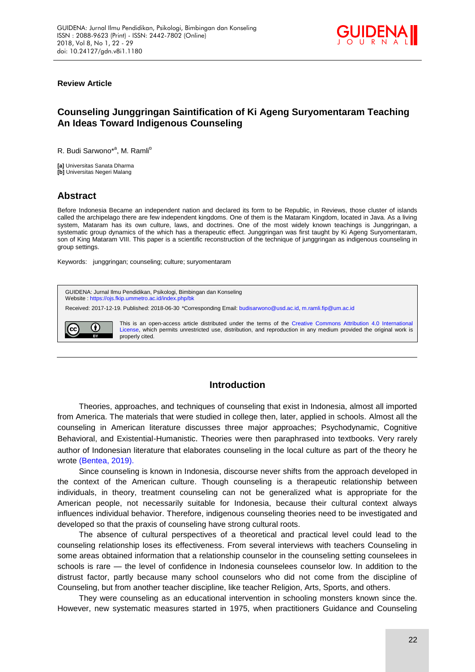

**Review Article**

# **Counseling Junggringan Saintification of Ki Ageng Suryomentaram Teaching An Ideas Toward Indigenous Counseling**

R. Budi Sarwono<sup>\*a</sup>, M. Ramli<sup>b</sup>

**[a]** Universitas Sanata Dharma **[b]** Universitas Negeri Malang

# **Abstract**

Before Indonesia Became an independent nation and declared its form to be Republic, in Reviews, those cluster of islands called the archipelago there are few independent kingdoms. One of them is the Mataram Kingdom, located in Java. As a living system, Mataram has its own culture, laws, and doctrines. One of the most widely known teachings is Junggringan, a systematic group dynamics of the which has a therapeutic effect. Junggringan was first taught by Ki Ageng Suryomentaram, son of King Mataram VIII. This paper is a scientific reconstruction of the technique of junggringan as indigenous counseling in group settings.

Keywords: junggringan; counseling; culture; suryomentaram



# **Introduction**

Theories, approaches, and techniques of counseling that exist in Indonesia, almost all imported from America. The materials that were studied in college then, later, applied in schools. Almost all the counseling in American literature discusses three major approaches; Psychodynamic, Cognitive Behavioral, and Existential-Humanistic. Theories were then paraphrased into textbooks. Very rarely author of Indonesian literature that elaborates counseling in the local culture as part of the theory he wrote [\(Bentea, 2019\).](#page-7-0)

Since counseling is known in Indonesia, discourse never shifts from the approach developed in the context of the American culture. Though counseling is a therapeutic relationship between individuals, in theory, treatment counseling can not be generalized what is appropriate for the American people, not necessarily suitable for Indonesia, because their cultural context always influences individual behavior. Therefore, indigenous counseling theories need to be investigated and developed so that the praxis of counseling have strong cultural roots.

The absence of cultural perspectives of a theoretical and practical level could lead to the counseling relationship loses its effectiveness. From several interviews with teachers Counseling in some areas obtained information that a relationship counselor in the counseling setting counselees in schools is rare — the level of confidence in Indonesia counselees counselor low. In addition to the distrust factor, partly because many school counselors who did not come from the discipline of Counseling, but from another teacher discipline, like teacher Religion, Arts, Sports, and others.

They were counseling as an educational intervention in schooling monsters known since the. However, new systematic measures started in 1975, when practitioners Guidance and Counseling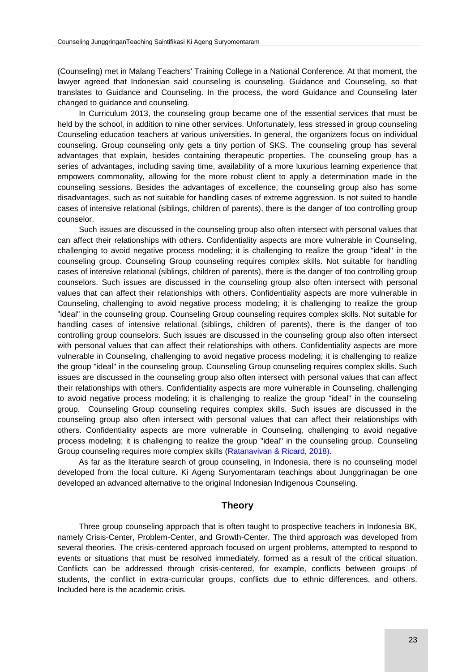(Counseling) met in Malang Teachers' Training College in a National Conference. At that moment, the lawyer agreed that Indonesian said counseling is counseling. Guidance and Counseling, so that translates to Guidance and Counseling. In the process, the word Guidance and Counseling later changed to guidance and counseling.

In Curriculum 2013, the counseling group became one of the essential services that must be held by the school, in addition to nine other services. Unfortunately, less stressed in group counseling Counseling education teachers at various universities. In general, the organizers focus on individual counseling. Group counseling only gets a tiny portion of SKS. The counseling group has several advantages that explain, besides containing therapeutic properties. The counseling group has a series of advantages, including saving time, availability of a more luxurious learning experience that empowers commonality, allowing for the more robust client to apply a determination made in the counseling sessions. Besides the advantages of excellence, the counseling group also has some disadvantages, such as not suitable for handling cases of extreme aggression. Is not suited to handle cases of intensive relational (siblings, children of parents), there is the danger of too controlling group counselor.

Such issues are discussed in the counseling group also often intersect with personal values that can affect their relationships with others. Confidentiality aspects are more vulnerable in Counseling, challenging to avoid negative process modeling; it is challenging to realize the group "ideal" in the counseling group. Counseling Group counseling requires complex skills. Not suitable for handling cases of intensive relational (siblings, children of parents), there is the danger of too controlling group counselors. Such issues are discussed in the counseling group also often intersect with personal values that can affect their relationships with others. Confidentiality aspects are more vulnerable in Counseling, challenging to avoid negative process modeling; it is challenging to realize the group "ideal" in the counseling group. Counseling Group counseling requires complex skills. Not suitable for handling cases of intensive relational (siblings, children of parents), there is the danger of too controlling group counselors. Such issues are discussed in the counseling group also often intersect with personal values that can affect their relationships with others. Confidentiality aspects are more vulnerable in Counseling, challenging to avoid negative process modeling; it is challenging to realize the group "ideal" in the counseling group. Counseling Group counseling requires complex skills. Such issues are discussed in the counseling group also often intersect with personal values that can affect their relationships with others. Confidentiality aspects are more vulnerable in Counseling, challenging to avoid negative process modeling; it is challenging to realize the group "ideal" in the counseling group. Counseling Group counseling requires complex skills. Such issues are discussed in the counseling group also often intersect with personal values that can affect their relationships with others. Confidentiality aspects are more vulnerable in Counseling, challenging to avoid negative process modeling; it is challenging to realize the group "ideal" in the counseling group. Counseling Group counseling requires more complex skills [\(Ratanavivan & Ricard, 2018\).](#page-7-0)

As far as the literature search of group counseling, in Indonesia, there is no counseling model developed from the local culture. Ki Ageng Suryomentaram teachings about Junggrinagan be one developed an advanced alternative to the original Indonesian Indigenous Counseling.

## **Theory**

Three group counseling approach that is often taught to prospective teachers in Indonesia BK, namely Crisis-Center, Problem-Center, and Growth-Center. The third approach was developed from several theories. The crisis-centered approach focused on urgent problems, attempted to respond to events or situations that must be resolved immediately, formed as a result of the critical situation. Conflicts can be addressed through crisis-centered, for example, conflicts between groups of students, the conflict in extra-curricular groups, conflicts due to ethnic differences, and others. Included here is the academic crisis.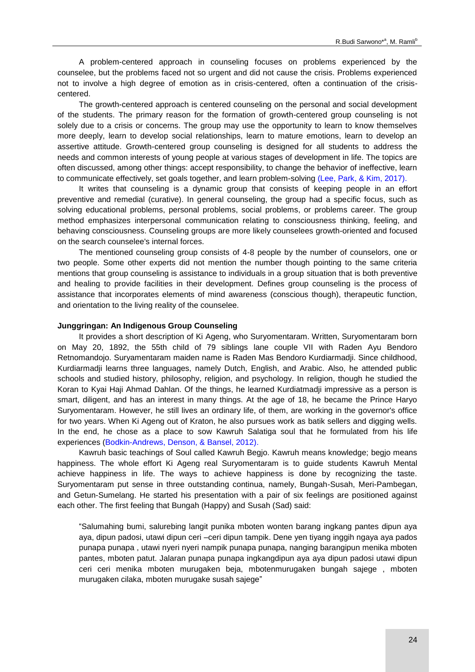A problem-centered approach in counseling focuses on problems experienced by the counselee, but the problems faced not so urgent and did not cause the crisis. Problems experienced not to involve a high degree of emotion as in crisis-centered, often a continuation of the crisiscentered.

The growth-centered approach is centered counseling on the personal and social development of the students. The primary reason for the formation of growth-centered group counseling is not solely due to a crisis or concerns. The group may use the opportunity to learn to know themselves more deeply, learn to develop social relationships, learn to mature emotions, learn to develop an assertive attitude. Growth-centered group counseling is designed for all students to address the needs and common interests of young people at various stages of development in life. The topics are often discussed, among other things: accept responsibility, to change the behavior of ineffective, learn to communicate effectively, set goals together, and learn problem-solving [\(Lee, Park, & Kim, 2017\).](#page-7-0)

It writes that counseling is a dynamic group that consists of keeping people in an effort preventive and remedial (curative). In general counseling, the group had a specific focus, such as solving educational problems, personal problems, social problems, or problems career. The group method emphasizes interpersonal communication relating to consciousness thinking, feeling, and behaving consciousness. Counseling groups are more likely counselees growth-oriented and focused on the search counselee's internal forces.

The mentioned counseling group consists of 4-8 people by the number of counselors, one or two people. Some other experts did not mention the number though pointing to the same criteria mentions that group counseling is assistance to individuals in a group situation that is both preventive and healing to provide facilities in their development. Defines group counseling is the process of assistance that incorporates elements of mind awareness (conscious though), therapeutic function, and orientation to the living reality of the counselee.

#### **Junggringan: An Indigenous Group Counseling**

It provides a short description of Ki Ageng, who Suryomentaram. Written, Suryomentaram born on May 20, 1892, the 55th child of 79 siblings lane couple VII with Raden Ayu Bendoro Retnomandojo. Suryamentaram maiden name is Raden Mas Bendoro Kurdiarmadji. Since childhood, Kurdiarmadji learns three languages, namely Dutch, English, and Arabic. Also, he attended public schools and studied history, philosophy, religion, and psychology. In religion, though he studied the Koran to Kyai Haji Ahmad Dahlan. Of the things, he learned Kurdiatmadji impressive as a person is smart, diligent, and has an interest in many things. At the age of 18, he became the Prince Haryo Suryomentaram. However, he still lives an ordinary life, of them, are working in the governor's office for two years. When Ki Ageng out of Kraton, he also pursues work as batik sellers and digging wells. In the end, he chose as a place to sow Kawruh Salatiga soul that he formulated from his life experiences [\(Bodkin-Andrews, Denson, & Bansel, 2012\).](#page-7-0)

Kawruh basic teachings of Soul called Kawruh Begjo. Kawruh means knowledge; begjo means happiness. The whole effort Ki Ageng real Suryomentaram is to guide students Kawruh Mental achieve happiness in life. The ways to achieve happiness is done by recognizing the taste. Suryomentaram put sense in three outstanding continua, namely, Bungah-Susah, Meri-Pambegan, and Getun-Sumelang. He started his presentation with a pair of six feelings are positioned against each other. The first feeling that Bungah (Happy) and Susah (Sad) said:

"Salumahing bumi, salurebing langit punika mboten wonten barang ingkang pantes dipun aya aya, dipun padosi, utawi dipun ceri –ceri dipun tampik. Dene yen tiyang inggih ngaya aya pados punapa punapa , utawi nyeri nyeri nampik punapa punapa, nanging barangipun menika mboten pantes, mboten patut. Jalaran punapa punapa ingkangdipun aya aya dipun padosi utawi dipun ceri ceri menika mboten murugaken beja, mbotenmurugaken bungah sajege , mboten murugaken cilaka, mboten murugake susah sajege"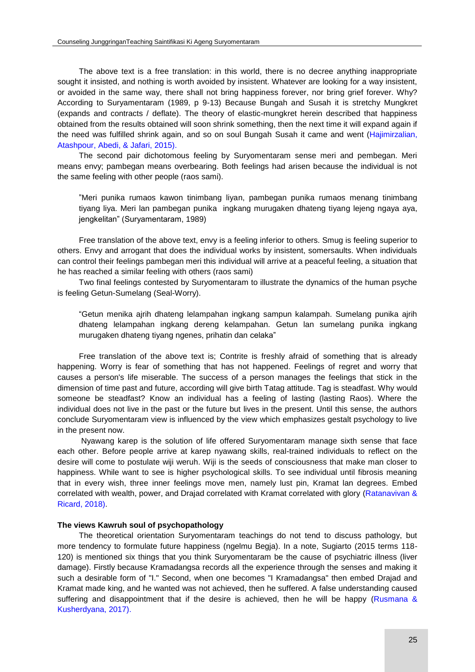The above text is a free translation: in this world, there is no decree anything inappropriate sought it insisted, and nothing is worth avoided by insistent. Whatever are looking for a way insistent, or avoided in the same way, there shall not bring happiness forever, nor bring grief forever. Why? According to Suryamentaram (1989, p 9-13) Because Bungah and Susah it is stretchy Mungkret (expands and contracts / deflate). The theory of elastic-mungkret herein described that happiness obtained from the results obtained will soon shrink something, then the next time it will expand again if the need was fulfilled shrink again, and so on soul Bungah Susah it came and went [\(Hajimirzalian,](#page-7-0)  [Atashpour, Abedi, & Jafari, 2015\).](#page-7-0)

The second pair dichotomous feeling by Suryomentaram sense meri and pembegan. Meri means envy; pambegan means overbearing. Both feelings had arisen because the individual is not the same feeling with other people (raos sami).

"Meri punika rumaos kawon tinimbang liyan, pambegan punika rumaos menang tinimbang tiyang liya. Meri lan pambegan punika ingkang murugaken dhateng tiyang lejeng ngaya aya, jengkelitan" (Suryamentaram, 1989)

Free translation of the above text, envy is a feeling inferior to others. Smug is feeling superior to others. Envy and arrogant that does the individual works by insistent, somersaults. When individuals can control their feelings pambegan meri this individual will arrive at a peaceful feeling, a situation that he has reached a similar feeling with others (raos sami)

Two final feelings contested by Suryomentaram to illustrate the dynamics of the human psyche is feeling Getun-Sumelang (Seal-Worry).

"Getun menika ajrih dhateng lelampahan ingkang sampun kalampah. Sumelang punika ajrih dhateng lelampahan ingkang dereng kelampahan. Getun lan sumelang punika ingkang murugaken dhateng tiyang ngenes, prihatin dan celaka"

Free translation of the above text is; Contrite is freshly afraid of something that is already happening. Worry is fear of something that has not happened. Feelings of regret and worry that causes a person's life miserable. The success of a person manages the feelings that stick in the dimension of time past and future, according will give birth Tatag attitude. Tag is steadfast. Why would someone be steadfast? Know an individual has a feeling of lasting (lasting Raos). Where the individual does not live in the past or the future but lives in the present. Until this sense, the authors conclude Suryomentaram view is influenced by the view which emphasizes gestalt psychology to live in the present now.

Nyawang karep is the solution of life offered Suryomentaram manage sixth sense that face each other. Before people arrive at karep nyawang skills, real-trained individuals to reflect on the desire will come to postulate wiji weruh. Wiji is the seeds of consciousness that make man closer to happiness. While want to see is higher psychological skills. To see individual until fibrosis meaning that in every wish, three inner feelings move men, namely lust pin, Kramat lan degrees. Embed correlated with wealth, power, and Drajad correlated with Kramat correlated with glory [\(Ratanavivan &](#page-7-0)  [Ricard, 2018\).](#page-7-0)

#### **The views Kawruh soul of psychopathology**

The theoretical orientation Suryomentaram teachings do not tend to discuss pathology, but more tendency to formulate future happiness (ngelmu Begia). In a note, Sugiarto (2015 terms 118-120) is mentioned six things that you think Suryomentaram be the cause of psychiatric illness (liver damage). Firstly because Kramadangsa records all the experience through the senses and making it such a desirable form of "I." Second, when one becomes "I Kramadangsa" then embed Drajad and Kramat made king, and he wanted was not achieved, then he suffered. A false understanding caused suffering and disappointment that if the desire is achieved, then he will be happy (Rusmana & [Kusherdyana, 2017\).](#page-7-0)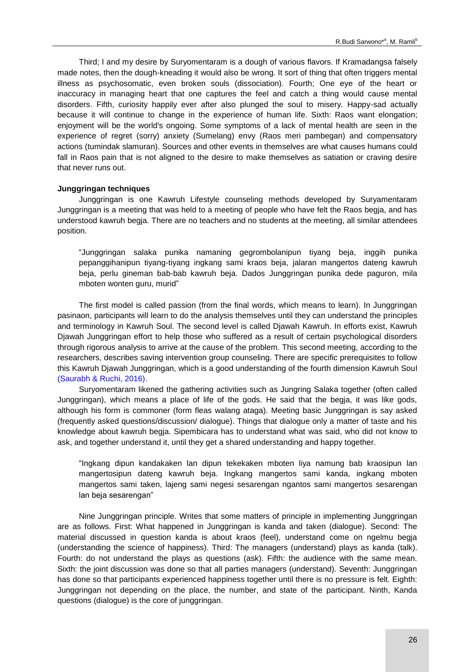Third; I and my desire by Suryomentaram is a dough of various flavors. If Kramadangsa falsely made notes, then the dough-kneading it would also be wrong. It sort of thing that often triggers mental illness as psychosomatic, even broken souls (dissociation). Fourth; One eye of the heart or inaccuracy in managing heart that one captures the feel and catch a thing would cause mental disorders. Fifth, curiosity happily ever after also plunged the soul to misery. Happy-sad actually because it will continue to change in the experience of human life. Sixth: Raos want elongation; enjoyment will be the world's ongoing. Some symptoms of a lack of mental health are seen in the experience of regret (sorry) anxiety (Sumelang) envy (Raos meri pambegan) and compensatory actions (tumindak slamuran). Sources and other events in themselves are what causes humans could fall in Raos pain that is not aligned to the desire to make themselves as satiation or craving desire that never runs out.

### **Junggringan techniques**

Junggringan is one Kawruh Lifestyle counseling methods developed by Suryamentaram Junggringan is a meeting that was held to a meeting of people who have felt the Raos begja, and has understood kawruh begja. There are no teachers and no students at the meeting, all similar attendees position.

"Junggringan salaka punika namaning gegrombolanipun tiyang beja, inggih punika pepanggihanipun tiyang-tiyang ingkang sami kraos beja, jalaran mangertos dateng kawruh beja, perlu gineman bab-bab kawruh beja. Dados Junggringan punika dede paguron, mila mboten wonten guru, murid"

The first model is called passion (from the final words, which means to learn). In Junggringan pasinaon, participants will learn to do the analysis themselves until they can understand the principles and terminology in Kawruh Soul. The second level is called Djawah Kawruh. In efforts exist, Kawruh Djawah Junggringan effort to help those who suffered as a result of certain psychological disorders through rigorous analysis to arrive at the cause of the problem. This second meeting, according to the researchers, describes saving intervention group counseling. There are specific prerequisites to follow this Kawruh Djawah Junggringan, which is a good understanding of the fourth dimension Kawruh Soul [\(Saurabh & Ruchi, 2016\).](#page-7-0)

Suryomentaram likened the gathering activities such as Jungring Salaka together (often called Junggringan), which means a place of life of the gods. He said that the begja, it was like gods, although his form is commoner (form fleas walang ataga). Meeting basic Junggringan is say asked (frequently asked questions/discussion/ dialogue). Things that dialogue only a matter of taste and his knowledge about kawruh begja. Sipembicara has to understand what was said, who did not know to ask, and together understand it, until they get a shared understanding and happy together.

"Ingkang dipun kandakaken lan dipun tekekaken mboten liya namung bab kraosipun lan mangertosipun dateng kawruh beja. Ingkang mangertos sami kanda, ingkang mboten mangertos sami taken, lajeng sami negesi sesarengan ngantos sami mangertos sesarengan lan beja sesarengan"

Nine Junggringan principle. Writes that some matters of principle in implementing Junggringan are as follows. First: What happened in Junggringan is kanda and taken (dialogue). Second: The material discussed in question kanda is about kraos (feel), understand come on ngelmu begja (understanding the science of happiness). Third: The managers (understand) plays as kanda (talk). Fourth: do not understand the plays as questions (ask). Fifth: the audience with the same mean. Sixth: the joint discussion was done so that all parties managers (understand). Seventh: Junggringan has done so that participants experienced happiness together until there is no pressure is felt. Eighth: Junggringan not depending on the place, the number, and state of the participant. Ninth, Kanda questions (dialogue) is the core of junggringan.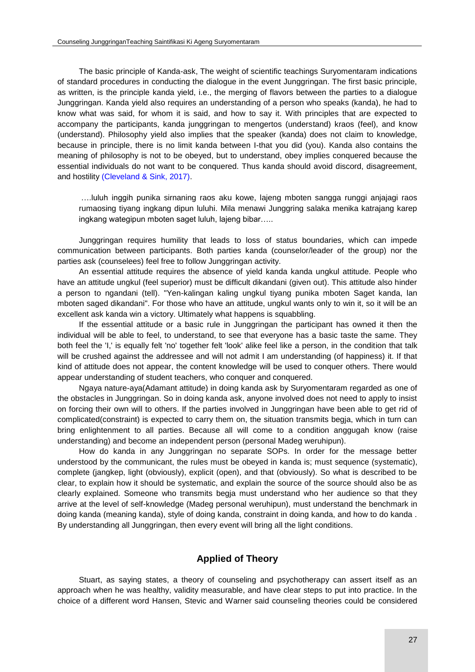The basic principle of Kanda-ask, The weight of scientific teachings Suryomentaram indications of standard procedures in conducting the dialogue in the event Junggringan. The first basic principle, as written, is the principle kanda yield, i.e., the merging of flavors between the parties to a dialogue Junggringan. Kanda yield also requires an understanding of a person who speaks (kanda), he had to know what was said, for whom it is said, and how to say it. With principles that are expected to accompany the participants, kanda junggringan to mengertos (understand) kraos (feel), and know (understand). Philosophy yield also implies that the speaker (kanda) does not claim to knowledge, because in principle, there is no limit kanda between I-that you did (you). Kanda also contains the meaning of philosophy is not to be obeyed, but to understand, obey implies conquered because the essential individuals do not want to be conquered. Thus kanda should avoid discord, disagreement, and hostility [\(Cleveland & Sink, 2017\).](#page-7-0)

….luluh inggih punika sirnaning raos aku kowe, lajeng mboten sangga runggi anjajagi raos rumaosing tiyang ingkang dipun luluhi. Mila menawi Junggring salaka menika katrajang karep ingkang wategipun mboten saget luluh, lajeng bibar…..

Junggringan requires humility that leads to loss of status boundaries, which can impede communication between participants. Both parties kanda (counselor/leader of the group) nor the parties ask (counselees) feel free to follow Junggringan activity.

An essential attitude requires the absence of yield kanda kanda ungkul attitude. People who have an attitude ungkul (feel superior) must be difficult dikandani (given out). This attitude also hinder a person to ngandani (tell). "Yen-kalingan kaling ungkul tiyang punika mboten Saget kanda, lan mboten saged dikandani". For those who have an attitude, ungkul wants only to win it, so it will be an excellent ask kanda win a victory. Ultimately what happens is squabbling.

If the essential attitude or a basic rule in Junggringan the participant has owned it then the individual will be able to feel, to understand, to see that everyone has a basic taste the same. They both feel the 'I,' is equally felt 'no' together felt 'look' alike feel like a person, in the condition that talk will be crushed against the addressee and will not admit I am understanding (of happiness) it. If that kind of attitude does not appear, the content knowledge will be used to conquer others. There would appear understanding of student teachers, who conquer and conquered.

Ngaya nature-aya(Adamant attitude) in doing kanda ask by Suryomentaram regarded as one of the obstacles in Junggringan. So in doing kanda ask, anyone involved does not need to apply to insist on forcing their own will to others. If the parties involved in Junggringan have been able to get rid of complicated(constraint) is expected to carry them on, the situation transmits begja, which in turn can bring enlightenment to all parties. Because all will come to a condition anggugah know (raise understanding) and become an independent person (personal Madeg weruhipun).

How do kanda in any Junggringan no separate SOPs. In order for the message better understood by the communicant, the rules must be obeyed in kanda is; must sequence (systematic), complete (jangkep, light (obviously), explicit (open), and that (obviously). So what is described to be clear, to explain how it should be systematic, and explain the source of the source should also be as clearly explained. Someone who transmits begja must understand who her audience so that they arrive at the level of self-knowledge (Madeg personal weruhipun), must understand the benchmark in doing kanda (meaning kanda), style of doing kanda, constraint in doing kanda, and how to do kanda . By understanding all Junggringan, then every event will bring all the light conditions.

## **Applied of Theory**

Stuart, as saying states, a theory of counseling and psychotherapy can assert itself as an approach when he was healthy, validity measurable, and have clear steps to put into practice. In the choice of a different word Hansen, Stevic and Warner said counseling theories could be considered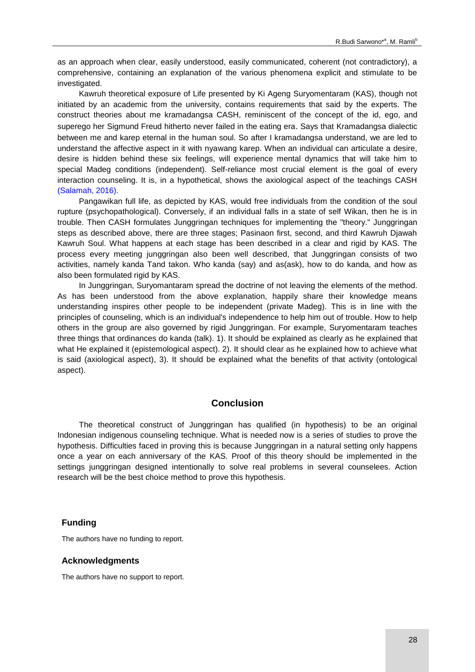as an approach when clear, easily understood, easily communicated, coherent (not contradictory), a comprehensive, containing an explanation of the various phenomena explicit and stimulate to be investigated.

Kawruh theoretical exposure of Life presented by Ki Ageng Suryomentaram (KAS), though not initiated by an academic from the university, contains requirements that said by the experts. The construct theories about me kramadangsa CASH, reminiscent of the concept of the id, ego, and superego her Sigmund Freud hitherto never failed in the eating era. Says that Kramadangsa dialectic between me and karep eternal in the human soul. So after I kramadangsa understand, we are led to understand the affective aspect in it with nyawang karep. When an individual can articulate a desire, desire is hidden behind these six feelings, will experience mental dynamics that will take him to special Madeg conditions (independent). Self-reliance most crucial element is the goal of every interaction counseling. It is, in a hypothetical, shows the axiological aspect of the teachings CASH [\(Salamah, 2016\).](#page-7-0)

Pangawikan full life, as depicted by KAS, would free individuals from the condition of the soul rupture (psychopathological). Conversely, if an individual falls in a state of self Wikan, then he is in trouble. Then CASH formulates Junggringan techniques for implementing the "theory." Junggringan steps as described above, there are three stages; Pasinaon first, second, and third Kawruh Djawah Kawruh Soul. What happens at each stage has been described in a clear and rigid by KAS. The process every meeting junggringan also been well described, that Junggringan consists of two activities, namely kanda Tand takon. Who kanda (say) and as(ask), how to do kanda, and how as also been formulated rigid by KAS.

In Junggringan, Suryomantaram spread the doctrine of not leaving the elements of the method. As has been understood from the above explanation, happily share their knowledge means understanding inspires other people to be independent (private Madeg). This is in line with the principles of counseling, which is an individual's independence to help him out of trouble. How to help others in the group are also governed by rigid Junggringan. For example, Suryomentaram teaches three things that ordinances do kanda (talk). 1). It should be explained as clearly as he explained that what He explained it (epistemological aspect). 2). It should clear as he explained how to achieve what is said (axiological aspect), 3). It should be explained what the benefits of that activity (ontological aspect).

### **Conclusion**

The theoretical construct of Junggringan has qualified (in hypothesis) to be an original Indonesian indigenous counseling technique. What is needed now is a series of studies to prove the hypothesis. Difficulties faced in proving this is because Junggringan in a natural setting only happens once a year on each anniversary of the KAS. Proof of this theory should be implemented in the settings junggringan designed intentionally to solve real problems in several counselees. Action research will be the best choice method to prove this hypothesis.

### **Funding**

The authors have no funding to report.

#### **Acknowledgments**

The authors have no support to report.